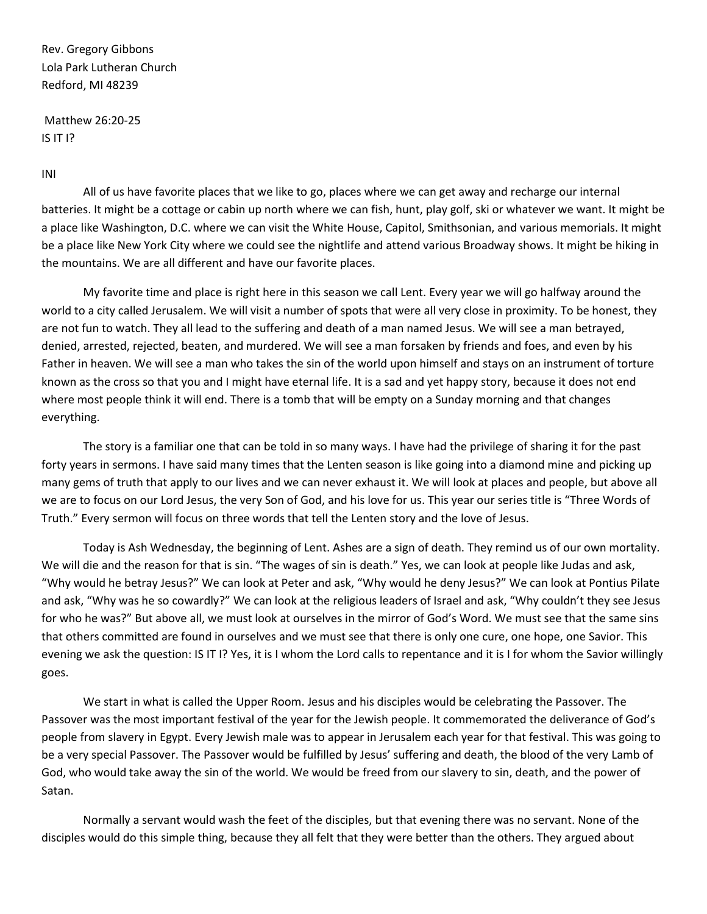Rev. Gregory Gibbons Lola Park Lutheran Church Redford, MI 48239

Matthew 26:20-25 IS IT I?

INI

All of us have favorite places that we like to go, places where we can get away and recharge our internal batteries. It might be a cottage or cabin up north where we can fish, hunt, play golf, ski or whatever we want. It might be a place like Washington, D.C. where we can visit the White House, Capitol, Smithsonian, and various memorials. It might be a place like New York City where we could see the nightlife and attend various Broadway shows. It might be hiking in the mountains. We are all different and have our favorite places.

My favorite time and place is right here in this season we call Lent. Every year we will go halfway around the world to a city called Jerusalem. We will visit a number of spots that were all very close in proximity. To be honest, they are not fun to watch. They all lead to the suffering and death of a man named Jesus. We will see a man betrayed, denied, arrested, rejected, beaten, and murdered. We will see a man forsaken by friends and foes, and even by his Father in heaven. We will see a man who takes the sin of the world upon himself and stays on an instrument of torture known as the cross so that you and I might have eternal life. It is a sad and yet happy story, because it does not end where most people think it will end. There is a tomb that will be empty on a Sunday morning and that changes everything.

The story is a familiar one that can be told in so many ways. I have had the privilege of sharing it for the past forty years in sermons. I have said many times that the Lenten season is like going into a diamond mine and picking up many gems of truth that apply to our lives and we can never exhaust it. We will look at places and people, but above all we are to focus on our Lord Jesus, the very Son of God, and his love for us. This year our series title is "Three Words of Truth." Every sermon will focus on three words that tell the Lenten story and the love of Jesus.

Today is Ash Wednesday, the beginning of Lent. Ashes are a sign of death. They remind us of our own mortality. We will die and the reason for that is sin. "The wages of sin is death." Yes, we can look at people like Judas and ask, "Why would he betray Jesus?" We can look at Peter and ask, "Why would he deny Jesus?" We can look at Pontius Pilate and ask, "Why was he so cowardly?" We can look at the religious leaders of Israel and ask, "Why couldn't they see Jesus for who he was?" But above all, we must look at ourselves in the mirror of God's Word. We must see that the same sins that others committed are found in ourselves and we must see that there is only one cure, one hope, one Savior. This evening we ask the question: IS IT I? Yes, it is I whom the Lord calls to repentance and it is I for whom the Savior willingly goes.

We start in what is called the Upper Room. Jesus and his disciples would be celebrating the Passover. The Passover was the most important festival of the year for the Jewish people. It commemorated the deliverance of God's people from slavery in Egypt. Every Jewish male was to appear in Jerusalem each year for that festival. This was going to be a very special Passover. The Passover would be fulfilled by Jesus' suffering and death, the blood of the very Lamb of God, who would take away the sin of the world. We would be freed from our slavery to sin, death, and the power of Satan.

Normally a servant would wash the feet of the disciples, but that evening there was no servant. None of the disciples would do this simple thing, because they all felt that they were better than the others. They argued about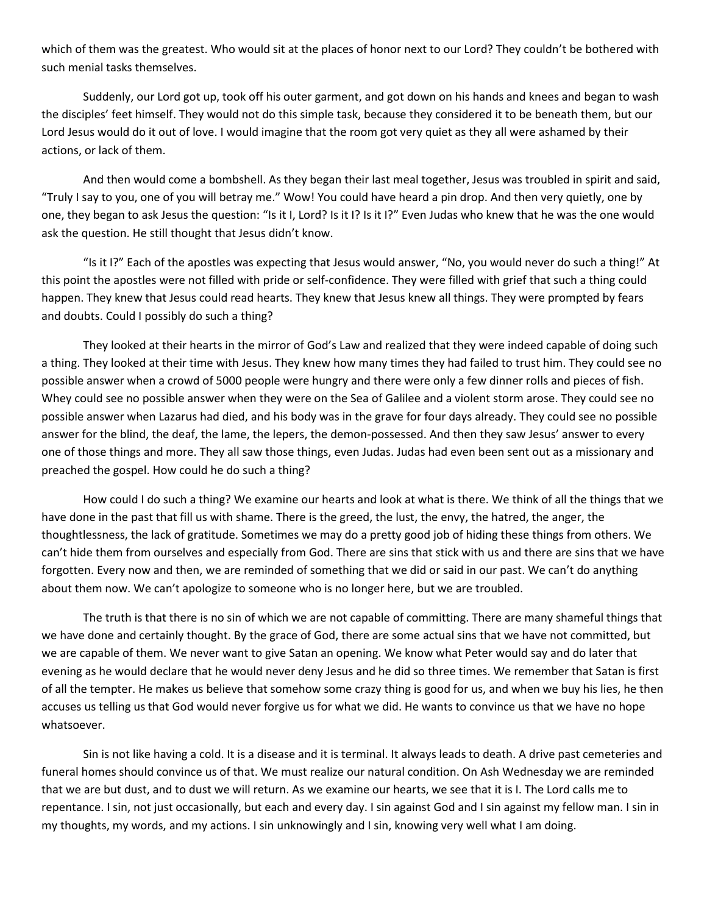which of them was the greatest. Who would sit at the places of honor next to our Lord? They couldn't be bothered with such menial tasks themselves.

Suddenly, our Lord got up, took off his outer garment, and got down on his hands and knees and began to wash the disciples' feet himself. They would not do this simple task, because they considered it to be beneath them, but our Lord Jesus would do it out of love. I would imagine that the room got very quiet as they all were ashamed by their actions, or lack of them.

And then would come a bombshell. As they began their last meal together, Jesus was troubled in spirit and said, "Truly I say to you, one of you will betray me." Wow! You could have heard a pin drop. And then very quietly, one by one, they began to ask Jesus the question: "Is it I, Lord? Is it I? Is it I?" Even Judas who knew that he was the one would ask the question. He still thought that Jesus didn't know.

"Is it I?" Each of the apostles was expecting that Jesus would answer, "No, you would never do such a thing!" At this point the apostles were not filled with pride or self-confidence. They were filled with grief that such a thing could happen. They knew that Jesus could read hearts. They knew that Jesus knew all things. They were prompted by fears and doubts. Could I possibly do such a thing?

They looked at their hearts in the mirror of God's Law and realized that they were indeed capable of doing such a thing. They looked at their time with Jesus. They knew how many times they had failed to trust him. They could see no possible answer when a crowd of 5000 people were hungry and there were only a few dinner rolls and pieces of fish. Whey could see no possible answer when they were on the Sea of Galilee and a violent storm arose. They could see no possible answer when Lazarus had died, and his body was in the grave for four days already. They could see no possible answer for the blind, the deaf, the lame, the lepers, the demon-possessed. And then they saw Jesus' answer to every one of those things and more. They all saw those things, even Judas. Judas had even been sent out as a missionary and preached the gospel. How could he do such a thing?

How could I do such a thing? We examine our hearts and look at what is there. We think of all the things that we have done in the past that fill us with shame. There is the greed, the lust, the envy, the hatred, the anger, the thoughtlessness, the lack of gratitude. Sometimes we may do a pretty good job of hiding these things from others. We can't hide them from ourselves and especially from God. There are sins that stick with us and there are sins that we have forgotten. Every now and then, we are reminded of something that we did or said in our past. We can't do anything about them now. We can't apologize to someone who is no longer here, but we are troubled.

The truth is that there is no sin of which we are not capable of committing. There are many shameful things that we have done and certainly thought. By the grace of God, there are some actual sins that we have not committed, but we are capable of them. We never want to give Satan an opening. We know what Peter would say and do later that evening as he would declare that he would never deny Jesus and he did so three times. We remember that Satan is first of all the tempter. He makes us believe that somehow some crazy thing is good for us, and when we buy his lies, he then accuses us telling us that God would never forgive us for what we did. He wants to convince us that we have no hope whatsoever.

Sin is not like having a cold. It is a disease and it is terminal. It always leads to death. A drive past cemeteries and funeral homes should convince us of that. We must realize our natural condition. On Ash Wednesday we are reminded that we are but dust, and to dust we will return. As we examine our hearts, we see that it is I. The Lord calls me to repentance. I sin, not just occasionally, but each and every day. I sin against God and I sin against my fellow man. I sin in my thoughts, my words, and my actions. I sin unknowingly and I sin, knowing very well what I am doing.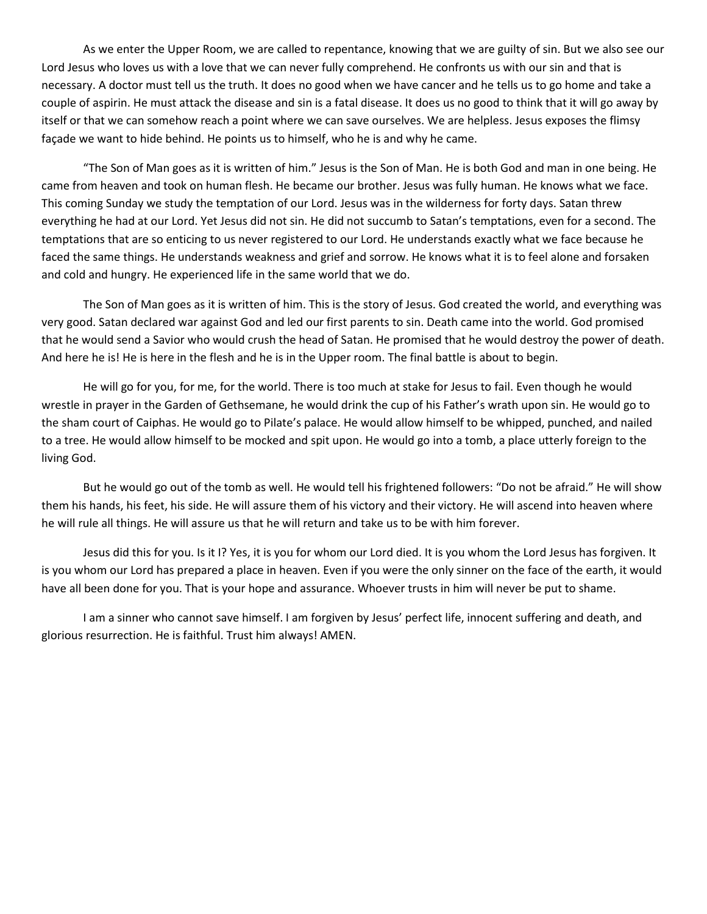As we enter the Upper Room, we are called to repentance, knowing that we are guilty of sin. But we also see our Lord Jesus who loves us with a love that we can never fully comprehend. He confronts us with our sin and that is necessary. A doctor must tell us the truth. It does no good when we have cancer and he tells us to go home and take a couple of aspirin. He must attack the disease and sin is a fatal disease. It does us no good to think that it will go away by itself or that we can somehow reach a point where we can save ourselves. We are helpless. Jesus exposes the flimsy façade we want to hide behind. He points us to himself, who he is and why he came.

"The Son of Man goes as it is written of him." Jesus is the Son of Man. He is both God and man in one being. He came from heaven and took on human flesh. He became our brother. Jesus was fully human. He knows what we face. This coming Sunday we study the temptation of our Lord. Jesus was in the wilderness for forty days. Satan threw everything he had at our Lord. Yet Jesus did not sin. He did not succumb to Satan's temptations, even for a second. The temptations that are so enticing to us never registered to our Lord. He understands exactly what we face because he faced the same things. He understands weakness and grief and sorrow. He knows what it is to feel alone and forsaken and cold and hungry. He experienced life in the same world that we do.

The Son of Man goes as it is written of him. This is the story of Jesus. God created the world, and everything was very good. Satan declared war against God and led our first parents to sin. Death came into the world. God promised that he would send a Savior who would crush the head of Satan. He promised that he would destroy the power of death. And here he is! He is here in the flesh and he is in the Upper room. The final battle is about to begin.

He will go for you, for me, for the world. There is too much at stake for Jesus to fail. Even though he would wrestle in prayer in the Garden of Gethsemane, he would drink the cup of his Father's wrath upon sin. He would go to the sham court of Caiphas. He would go to Pilate's palace. He would allow himself to be whipped, punched, and nailed to a tree. He would allow himself to be mocked and spit upon. He would go into a tomb, a place utterly foreign to the living God.

But he would go out of the tomb as well. He would tell his frightened followers: "Do not be afraid." He will show them his hands, his feet, his side. He will assure them of his victory and their victory. He will ascend into heaven where he will rule all things. He will assure us that he will return and take us to be with him forever.

Jesus did this for you. Is it I? Yes, it is you for whom our Lord died. It is you whom the Lord Jesus has forgiven. It is you whom our Lord has prepared a place in heaven. Even if you were the only sinner on the face of the earth, it would have all been done for you. That is your hope and assurance. Whoever trusts in him will never be put to shame.

I am a sinner who cannot save himself. I am forgiven by Jesus' perfect life, innocent suffering and death, and glorious resurrection. He is faithful. Trust him always! AMEN.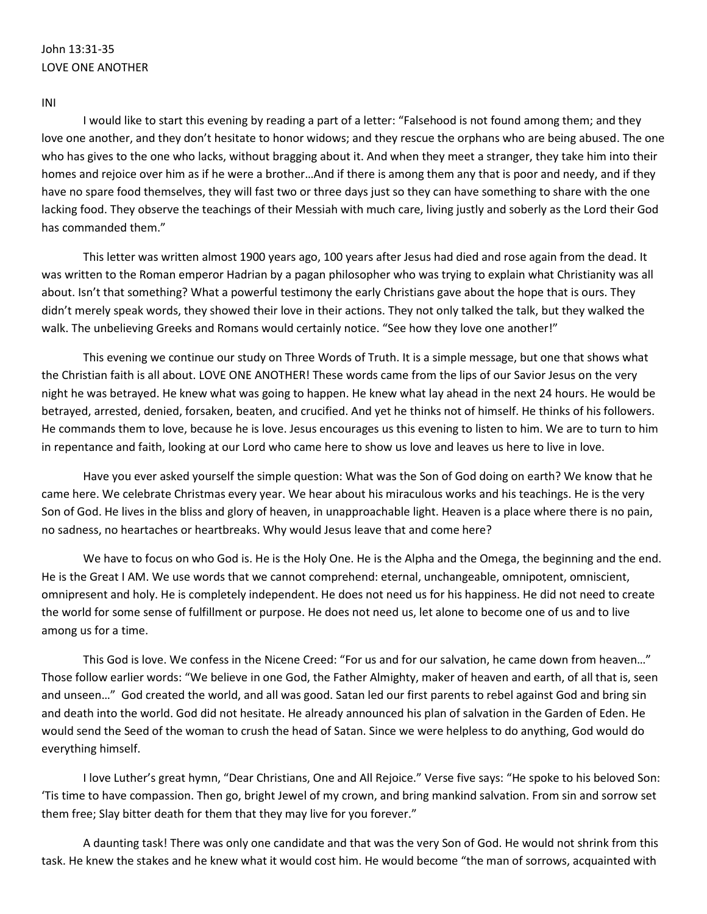# John 13:31-35 LOVE ONE ANOTHER

#### INI

I would like to start this evening by reading a part of a letter: "Falsehood is not found among them; and they love one another, and they don't hesitate to honor widows; and they rescue the orphans who are being abused. The one who has gives to the one who lacks, without bragging about it. And when they meet a stranger, they take him into their homes and rejoice over him as if he were a brother…And if there is among them any that is poor and needy, and if they have no spare food themselves, they will fast two or three days just so they can have something to share with the one lacking food. They observe the teachings of their Messiah with much care, living justly and soberly as the Lord their God has commanded them."

This letter was written almost 1900 years ago, 100 years after Jesus had died and rose again from the dead. It was written to the Roman emperor Hadrian by a pagan philosopher who was trying to explain what Christianity was all about. Isn't that something? What a powerful testimony the early Christians gave about the hope that is ours. They didn't merely speak words, they showed their love in their actions. They not only talked the talk, but they walked the walk. The unbelieving Greeks and Romans would certainly notice. "See how they love one another!"

This evening we continue our study on Three Words of Truth. It is a simple message, but one that shows what the Christian faith is all about. LOVE ONE ANOTHER! These words came from the lips of our Savior Jesus on the very night he was betrayed. He knew what was going to happen. He knew what lay ahead in the next 24 hours. He would be betrayed, arrested, denied, forsaken, beaten, and crucified. And yet he thinks not of himself. He thinks of his followers. He commands them to love, because he is love. Jesus encourages us this evening to listen to him. We are to turn to him in repentance and faith, looking at our Lord who came here to show us love and leaves us here to live in love.

Have you ever asked yourself the simple question: What was the Son of God doing on earth? We know that he came here. We celebrate Christmas every year. We hear about his miraculous works and his teachings. He is the very Son of God. He lives in the bliss and glory of heaven, in unapproachable light. Heaven is a place where there is no pain, no sadness, no heartaches or heartbreaks. Why would Jesus leave that and come here?

We have to focus on who God is. He is the Holy One. He is the Alpha and the Omega, the beginning and the end. He is the Great I AM. We use words that we cannot comprehend: eternal, unchangeable, omnipotent, omniscient, omnipresent and holy. He is completely independent. He does not need us for his happiness. He did not need to create the world for some sense of fulfillment or purpose. He does not need us, let alone to become one of us and to live among us for a time.

This God is love. We confess in the Nicene Creed: "For us and for our salvation, he came down from heaven..." Those follow earlier words: "We believe in one God, the Father Almighty, maker of heaven and earth, of all that is, seen and unseen…" God created the world, and all was good. Satan led our first parents to rebel against God and bring sin and death into the world. God did not hesitate. He already announced his plan of salvation in the Garden of Eden. He would send the Seed of the woman to crush the head of Satan. Since we were helpless to do anything, God would do everything himself.

I love Luther's great hymn, "Dear Christians, One and All Rejoice." Verse five says: "He spoke to his beloved Son: 'Tis time to have compassion. Then go, bright Jewel of my crown, and bring mankind salvation. From sin and sorrow set them free; Slay bitter death for them that they may live for you forever."

A daunting task! There was only one candidate and that was the very Son of God. He would not shrink from this task. He knew the stakes and he knew what it would cost him. He would become "the man of sorrows, acquainted with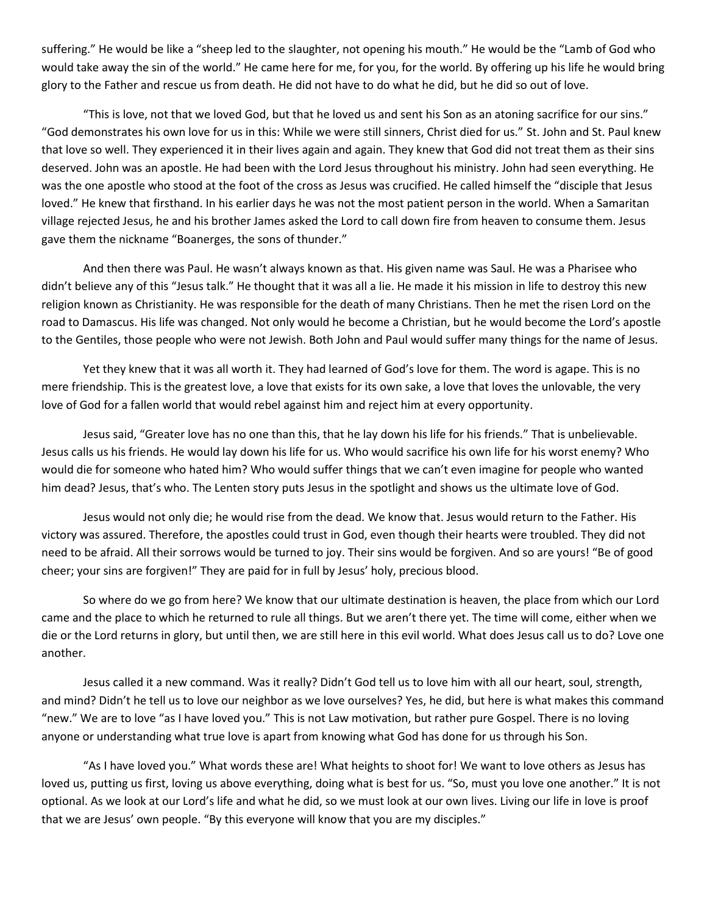suffering." He would be like a "sheep led to the slaughter, not opening his mouth." He would be the "Lamb of God who would take away the sin of the world." He came here for me, for you, for the world. By offering up his life he would bring glory to the Father and rescue us from death. He did not have to do what he did, but he did so out of love.

"This is love, not that we loved God, but that he loved us and sent his Son as an atoning sacrifice for our sins." "God demonstrates his own love for us in this: While we were still sinners, Christ died for us." St. John and St. Paul knew that love so well. They experienced it in their lives again and again. They knew that God did not treat them as their sins deserved. John was an apostle. He had been with the Lord Jesus throughout his ministry. John had seen everything. He was the one apostle who stood at the foot of the cross as Jesus was crucified. He called himself the "disciple that Jesus loved." He knew that firsthand. In his earlier days he was not the most patient person in the world. When a Samaritan village rejected Jesus, he and his brother James asked the Lord to call down fire from heaven to consume them. Jesus gave them the nickname "Boanerges, the sons of thunder."

And then there was Paul. He wasn't always known as that. His given name was Saul. He was a Pharisee who didn't believe any of this "Jesus talk." He thought that it was all a lie. He made it his mission in life to destroy this new religion known as Christianity. He was responsible for the death of many Christians. Then he met the risen Lord on the road to Damascus. His life was changed. Not only would he become a Christian, but he would become the Lord's apostle to the Gentiles, those people who were not Jewish. Both John and Paul would suffer many things for the name of Jesus.

Yet they knew that it was all worth it. They had learned of God's love for them. The word is agape. This is no mere friendship. This is the greatest love, a love that exists for its own sake, a love that loves the unlovable, the very love of God for a fallen world that would rebel against him and reject him at every opportunity.

Jesus said, "Greater love has no one than this, that he lay down his life for his friends." That is unbelievable. Jesus calls us his friends. He would lay down his life for us. Who would sacrifice his own life for his worst enemy? Who would die for someone who hated him? Who would suffer things that we can't even imagine for people who wanted him dead? Jesus, that's who. The Lenten story puts Jesus in the spotlight and shows us the ultimate love of God.

Jesus would not only die; he would rise from the dead. We know that. Jesus would return to the Father. His victory was assured. Therefore, the apostles could trust in God, even though their hearts were troubled. They did not need to be afraid. All their sorrows would be turned to joy. Their sins would be forgiven. And so are yours! "Be of good cheer; your sins are forgiven!" They are paid for in full by Jesus' holy, precious blood.

So where do we go from here? We know that our ultimate destination is heaven, the place from which our Lord came and the place to which he returned to rule all things. But we aren't there yet. The time will come, either when we die or the Lord returns in glory, but until then, we are still here in this evil world. What does Jesus call us to do? Love one another.

Jesus called it a new command. Was it really? Didn't God tell us to love him with all our heart, soul, strength, and mind? Didn't he tell us to love our neighbor as we love ourselves? Yes, he did, but here is what makes this command "new." We are to love "as I have loved you." This is not Law motivation, but rather pure Gospel. There is no loving anyone or understanding what true love is apart from knowing what God has done for us through his Son.

"As I have loved you." What words these are! What heights to shoot for! We want to love others as Jesus has loved us, putting us first, loving us above everything, doing what is best for us. "So, must you love one another." It is not optional. As we look at our Lord's life and what he did, so we must look at our own lives. Living our life in love is proof that we are Jesus' own people. "By this everyone will know that you are my disciples."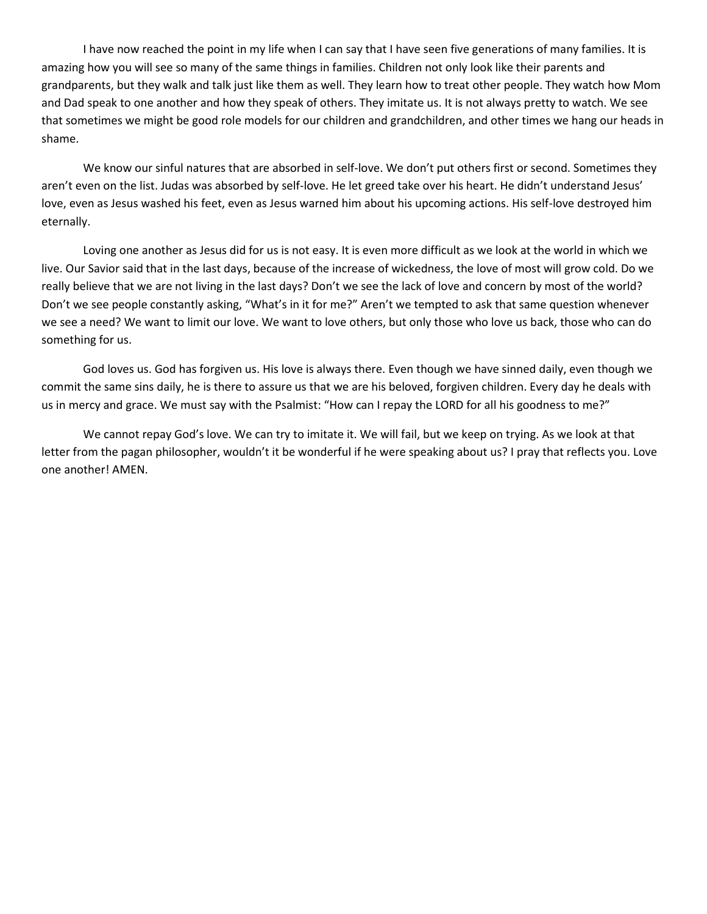I have now reached the point in my life when I can say that I have seen five generations of many families. It is amazing how you will see so many of the same things in families. Children not only look like their parents and grandparents, but they walk and talk just like them as well. They learn how to treat other people. They watch how Mom and Dad speak to one another and how they speak of others. They imitate us. It is not always pretty to watch. We see that sometimes we might be good role models for our children and grandchildren, and other times we hang our heads in shame.

We know our sinful natures that are absorbed in self-love. We don't put others first or second. Sometimes they aren't even on the list. Judas was absorbed by self-love. He let greed take over his heart. He didn't understand Jesus' love, even as Jesus washed his feet, even as Jesus warned him about his upcoming actions. His self-love destroyed him eternally.

Loving one another as Jesus did for us is not easy. It is even more difficult as we look at the world in which we live. Our Savior said that in the last days, because of the increase of wickedness, the love of most will grow cold. Do we really believe that we are not living in the last days? Don't we see the lack of love and concern by most of the world? Don't we see people constantly asking, "What's in it for me?" Aren't we tempted to ask that same question whenever we see a need? We want to limit our love. We want to love others, but only those who love us back, those who can do something for us.

God loves us. God has forgiven us. His love is always there. Even though we have sinned daily, even though we commit the same sins daily, he is there to assure us that we are his beloved, forgiven children. Every day he deals with us in mercy and grace. We must say with the Psalmist: "How can I repay the LORD for all his goodness to me?"

We cannot repay God's love. We can try to imitate it. We will fail, but we keep on trying. As we look at that letter from the pagan philosopher, wouldn't it be wonderful if he were speaking about us? I pray that reflects you. Love one another! AMEN.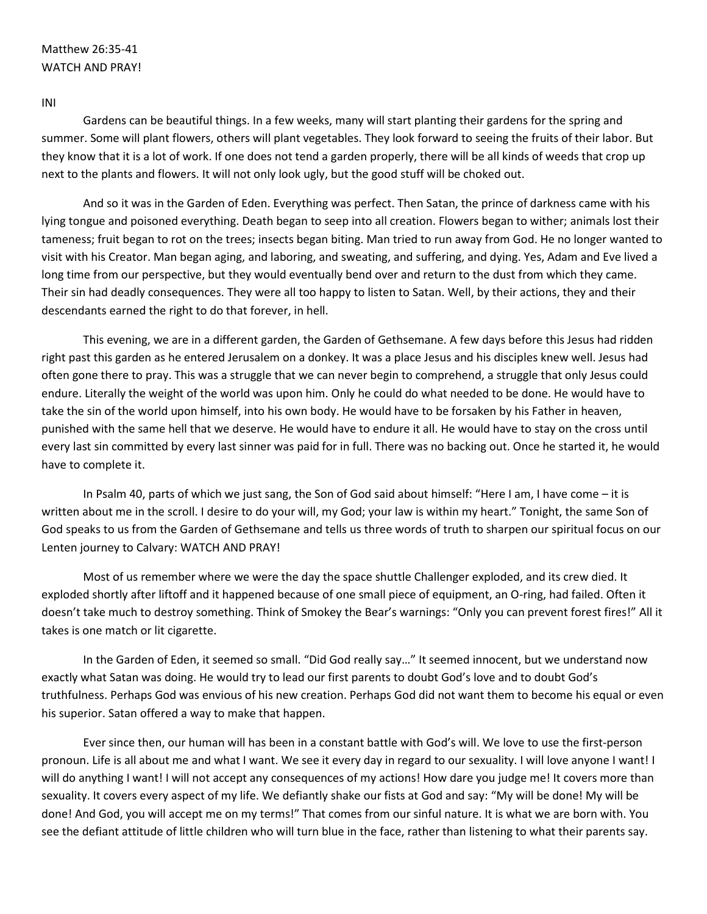#### Matthew 26:35-41 WATCH AND PRAY!

INI

Gardens can be beautiful things. In a few weeks, many will start planting their gardens for the spring and summer. Some will plant flowers, others will plant vegetables. They look forward to seeing the fruits of their labor. But they know that it is a lot of work. If one does not tend a garden properly, there will be all kinds of weeds that crop up next to the plants and flowers. It will not only look ugly, but the good stuff will be choked out.

And so it was in the Garden of Eden. Everything was perfect. Then Satan, the prince of darkness came with his lying tongue and poisoned everything. Death began to seep into all creation. Flowers began to wither; animals lost their tameness; fruit began to rot on the trees; insects began biting. Man tried to run away from God. He no longer wanted to visit with his Creator. Man began aging, and laboring, and sweating, and suffering, and dying. Yes, Adam and Eve lived a long time from our perspective, but they would eventually bend over and return to the dust from which they came. Their sin had deadly consequences. They were all too happy to listen to Satan. Well, by their actions, they and their descendants earned the right to do that forever, in hell.

This evening, we are in a different garden, the Garden of Gethsemane. A few days before this Jesus had ridden right past this garden as he entered Jerusalem on a donkey. It was a place Jesus and his disciples knew well. Jesus had often gone there to pray. This was a struggle that we can never begin to comprehend, a struggle that only Jesus could endure. Literally the weight of the world was upon him. Only he could do what needed to be done. He would have to take the sin of the world upon himself, into his own body. He would have to be forsaken by his Father in heaven, punished with the same hell that we deserve. He would have to endure it all. He would have to stay on the cross until every last sin committed by every last sinner was paid for in full. There was no backing out. Once he started it, he would have to complete it.

In Psalm 40, parts of which we just sang, the Son of God said about himself: "Here I am, I have come – it is written about me in the scroll. I desire to do your will, my God; your law is within my heart." Tonight, the same Son of God speaks to us from the Garden of Gethsemane and tells us three words of truth to sharpen our spiritual focus on our Lenten journey to Calvary: WATCH AND PRAY!

Most of us remember where we were the day the space shuttle Challenger exploded, and its crew died. It exploded shortly after liftoff and it happened because of one small piece of equipment, an O-ring, had failed. Often it doesn't take much to destroy something. Think of Smokey the Bear's warnings: "Only you can prevent forest fires!" All it takes is one match or lit cigarette.

In the Garden of Eden, it seemed so small. "Did God really say…" It seemed innocent, but we understand now exactly what Satan was doing. He would try to lead our first parents to doubt God's love and to doubt God's truthfulness. Perhaps God was envious of his new creation. Perhaps God did not want them to become his equal or even his superior. Satan offered a way to make that happen.

Ever since then, our human will has been in a constant battle with God's will. We love to use the first-person pronoun. Life is all about me and what I want. We see it every day in regard to our sexuality. I will love anyone I want! I will do anything I want! I will not accept any consequences of my actions! How dare you judge me! It covers more than sexuality. It covers every aspect of my life. We defiantly shake our fists at God and say: "My will be done! My will be done! And God, you will accept me on my terms!" That comes from our sinful nature. It is what we are born with. You see the defiant attitude of little children who will turn blue in the face, rather than listening to what their parents say.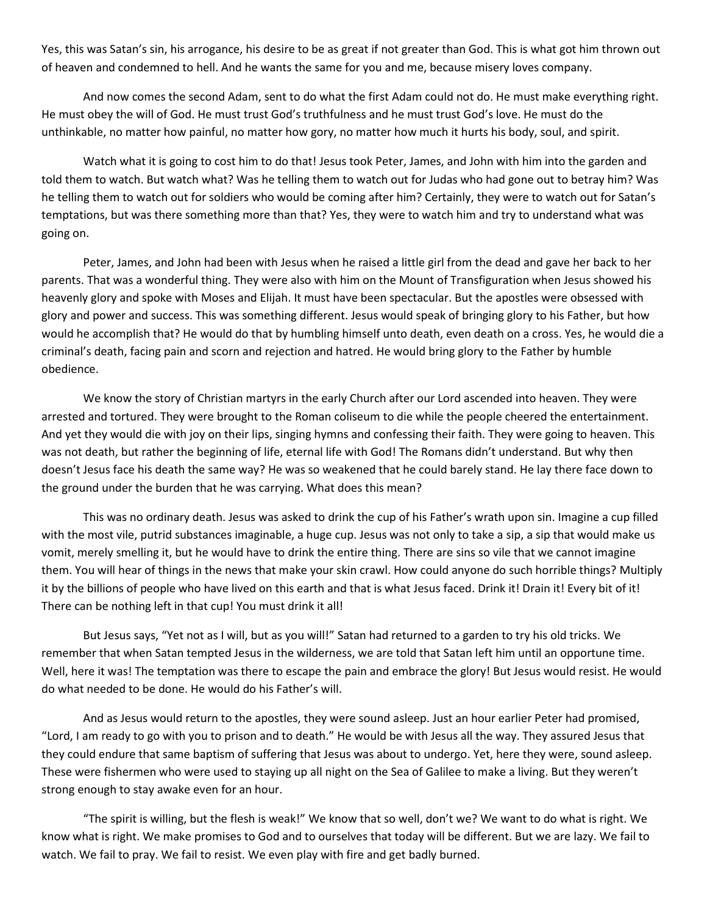Yes, this was Satan's sin, his arrogance, his desire to be as great if not greater than God. This is what got him thrown out of heaven and condemned to hell. And he wants the same for you and me, because misery loves company.

And now comes the second Adam, sent to do what the first Adam could not do. He must make everything right. He must obey the will of God. He must trust God's truthfulness and he must trust God's love. He must do the unthinkable, no matter how painful, no matter how gory, no matter how much it hurts his body, soul, and spirit.

Watch what it is going to cost him to do that! Jesus took Peter, James, and John with him into the garden and told them to watch. But watch what? Was he telling them to watch out for Judas who had gone out to betray him? Was he telling them to watch out for soldiers who would be coming after him? Certainly, they were to watch out for Satan's temptations, but was there something more than that? Yes, they were to watch him and try to understand what was going on.

Peter, James, and John had been with Jesus when he raised a little girl from the dead and gave her back to her parents. That was a wonderful thing. They were also with him on the Mount of Transfiguration when Jesus showed his heavenly glory and spoke with Moses and Elijah. It must have been spectacular. But the apostles were obsessed with glory and power and success. This was something different. Jesus would speak of bringing glory to his Father, but how would he accomplish that? He would do that by humbling himself unto death, even death on a cross. Yes, he would die a criminal's death, facing pain and scorn and rejection and hatred. He would bring glory to the Father by humble obedience.

We know the story of Christian martyrs in the early Church after our Lord ascended into heaven. They were arrested and tortured. They were brought to the Roman coliseum to die while the people cheered the entertainment. And yet they would die with joy on their lips, singing hymns and confessing their faith. They were going to heaven. This was not death, but rather the beginning of life, eternal life with God! The Romans didn't understand. But why then doesn't Jesus face his death the same way? He was so weakened that he could barely stand. He lay there face down to the ground under the burden that he was carrying. What does this mean?

This was no ordinary death. Jesus was asked to drink the cup of his Father's wrath upon sin. Imagine a cup filled with the most vile, putrid substances imaginable, a huge cup. Jesus was not only to take a sip, a sip that would make us vomit, merely smelling it, but he would have to drink the entire thing. There are sins so vile that we cannot imagine them. You will hear of things in the news that make your skin crawl. How could anyone do such horrible things? Multiply it by the billions of people who have lived on this earth and that is what Jesus faced. Drink it! Drain it! Every bit of it! There can be nothing left in that cup! You must drink it all!

But Jesus says, "Yet not as I will, but as you will!" Satan had returned to a garden to try his old tricks. We remember that when Satan tempted Jesus in the wilderness, we are told that Satan left him until an opportune time. Well, here it was! The temptation was there to escape the pain and embrace the glory! But Jesus would resist. He would do what needed to be done. He would do his Father's will.

And as Jesus would return to the apostles, they were sound asleep. Just an hour earlier Peter had promised, "Lord, I am ready to go with you to prison and to death." He would be with Jesus all the way. They assured Jesus that they could endure that same baptism of suffering that Jesus was about to undergo. Yet, here they were, sound asleep. These were fishermen who were used to staying up all night on the Sea of Galilee to make a living. But they weren't strong enough to stay awake even for an hour.

"The spirit is willing, but the flesh is weak!" We know that so well, don't we? We want to do what is right. We know what is right. We make promises to God and to ourselves that today will be different. But we are lazy. We fail to watch. We fail to pray. We fail to resist. We even play with fire and get badly burned.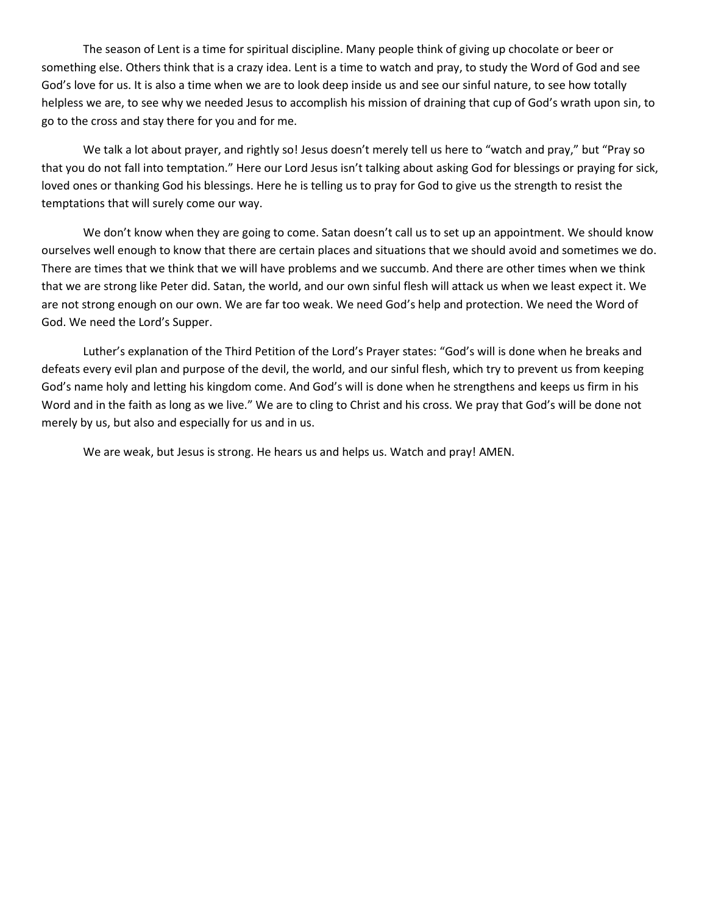The season of Lent is a time for spiritual discipline. Many people think of giving up chocolate or beer or something else. Others think that is a crazy idea. Lent is a time to watch and pray, to study the Word of God and see God's love for us. It is also a time when we are to look deep inside us and see our sinful nature, to see how totally helpless we are, to see why we needed Jesus to accomplish his mission of draining that cup of God's wrath upon sin, to go to the cross and stay there for you and for me.

We talk a lot about prayer, and rightly so! Jesus doesn't merely tell us here to "watch and pray," but "Pray so that you do not fall into temptation." Here our Lord Jesus isn't talking about asking God for blessings or praying for sick, loved ones or thanking God his blessings. Here he is telling us to pray for God to give us the strength to resist the temptations that will surely come our way.

We don't know when they are going to come. Satan doesn't call us to set up an appointment. We should know ourselves well enough to know that there are certain places and situations that we should avoid and sometimes we do. There are times that we think that we will have problems and we succumb. And there are other times when we think that we are strong like Peter did. Satan, the world, and our own sinful flesh will attack us when we least expect it. We are not strong enough on our own. We are far too weak. We need God's help and protection. We need the Word of God. We need the Lord's Supper.

Luther's explanation of the Third Petition of the Lord's Prayer states: "God's will is done when he breaks and defeats every evil plan and purpose of the devil, the world, and our sinful flesh, which try to prevent us from keeping God's name holy and letting his kingdom come. And God's will is done when he strengthens and keeps us firm in his Word and in the faith as long as we live." We are to cling to Christ and his cross. We pray that God's will be done not merely by us, but also and especially for us and in us.

We are weak, but Jesus is strong. He hears us and helps us. Watch and pray! AMEN.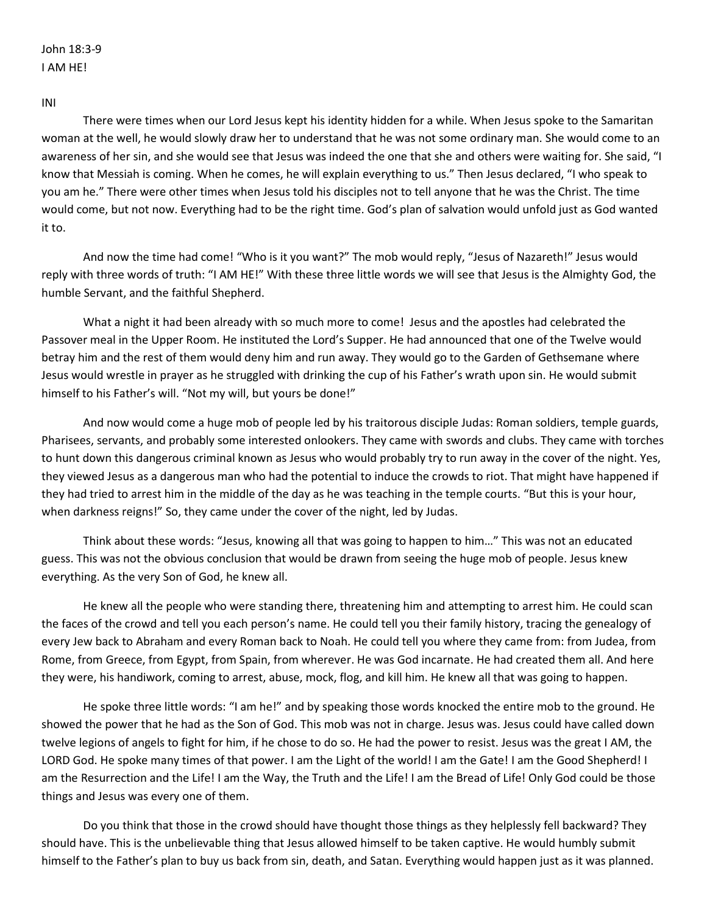INI

There were times when our Lord Jesus kept his identity hidden for a while. When Jesus spoke to the Samaritan woman at the well, he would slowly draw her to understand that he was not some ordinary man. She would come to an awareness of her sin, and she would see that Jesus was indeed the one that she and others were waiting for. She said, "I know that Messiah is coming. When he comes, he will explain everything to us." Then Jesus declared, "I who speak to you am he." There were other times when Jesus told his disciples not to tell anyone that he was the Christ. The time would come, but not now. Everything had to be the right time. God's plan of salvation would unfold just as God wanted it to.

And now the time had come! "Who is it you want?" The mob would reply, "Jesus of Nazareth!" Jesus would reply with three words of truth: "I AM HE!" With these three little words we will see that Jesus is the Almighty God, the humble Servant, and the faithful Shepherd.

What a night it had been already with so much more to come! Jesus and the apostles had celebrated the Passover meal in the Upper Room. He instituted the Lord's Supper. He had announced that one of the Twelve would betray him and the rest of them would deny him and run away. They would go to the Garden of Gethsemane where Jesus would wrestle in prayer as he struggled with drinking the cup of his Father's wrath upon sin. He would submit himself to his Father's will. "Not my will, but yours be done!"

And now would come a huge mob of people led by his traitorous disciple Judas: Roman soldiers, temple guards, Pharisees, servants, and probably some interested onlookers. They came with swords and clubs. They came with torches to hunt down this dangerous criminal known as Jesus who would probably try to run away in the cover of the night. Yes, they viewed Jesus as a dangerous man who had the potential to induce the crowds to riot. That might have happened if they had tried to arrest him in the middle of the day as he was teaching in the temple courts. "But this is your hour, when darkness reigns!" So, they came under the cover of the night, led by Judas.

Think about these words: "Jesus, knowing all that was going to happen to him…" This was not an educated guess. This was not the obvious conclusion that would be drawn from seeing the huge mob of people. Jesus knew everything. As the very Son of God, he knew all.

He knew all the people who were standing there, threatening him and attempting to arrest him. He could scan the faces of the crowd and tell you each person's name. He could tell you their family history, tracing the genealogy of every Jew back to Abraham and every Roman back to Noah. He could tell you where they came from: from Judea, from Rome, from Greece, from Egypt, from Spain, from wherever. He was God incarnate. He had created them all. And here they were, his handiwork, coming to arrest, abuse, mock, flog, and kill him. He knew all that was going to happen.

He spoke three little words: "I am he!" and by speaking those words knocked the entire mob to the ground. He showed the power that he had as the Son of God. This mob was not in charge. Jesus was. Jesus could have called down twelve legions of angels to fight for him, if he chose to do so. He had the power to resist. Jesus was the great I AM, the LORD God. He spoke many times of that power. I am the Light of the world! I am the Gate! I am the Good Shepherd! I am the Resurrection and the Life! I am the Way, the Truth and the Life! I am the Bread of Life! Only God could be those things and Jesus was every one of them.

Do you think that those in the crowd should have thought those things as they helplessly fell backward? They should have. This is the unbelievable thing that Jesus allowed himself to be taken captive. He would humbly submit himself to the Father's plan to buy us back from sin, death, and Satan. Everything would happen just as it was planned.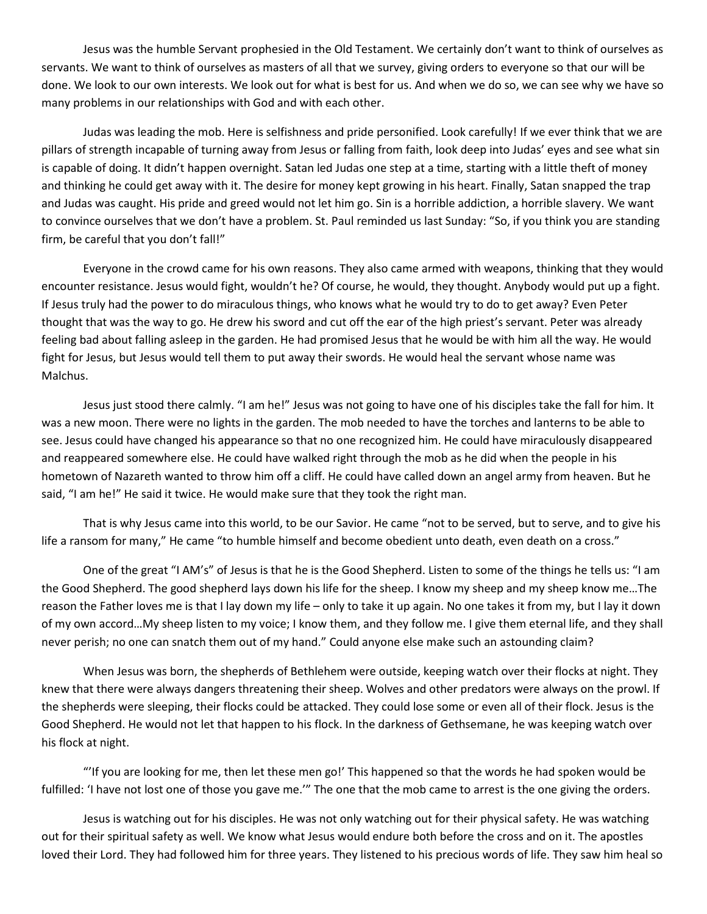Jesus was the humble Servant prophesied in the Old Testament. We certainly don't want to think of ourselves as servants. We want to think of ourselves as masters of all that we survey, giving orders to everyone so that our will be done. We look to our own interests. We look out for what is best for us. And when we do so, we can see why we have so many problems in our relationships with God and with each other.

Judas was leading the mob. Here is selfishness and pride personified. Look carefully! If we ever think that we are pillars of strength incapable of turning away from Jesus or falling from faith, look deep into Judas' eyes and see what sin is capable of doing. It didn't happen overnight. Satan led Judas one step at a time, starting with a little theft of money and thinking he could get away with it. The desire for money kept growing in his heart. Finally, Satan snapped the trap and Judas was caught. His pride and greed would not let him go. Sin is a horrible addiction, a horrible slavery. We want to convince ourselves that we don't have a problem. St. Paul reminded us last Sunday: "So, if you think you are standing firm, be careful that you don't fall!"

Everyone in the crowd came for his own reasons. They also came armed with weapons, thinking that they would encounter resistance. Jesus would fight, wouldn't he? Of course, he would, they thought. Anybody would put up a fight. If Jesus truly had the power to do miraculous things, who knows what he would try to do to get away? Even Peter thought that was the way to go. He drew his sword and cut off the ear of the high priest's servant. Peter was already feeling bad about falling asleep in the garden. He had promised Jesus that he would be with him all the way. He would fight for Jesus, but Jesus would tell them to put away their swords. He would heal the servant whose name was Malchus.

Jesus just stood there calmly. "I am he!" Jesus was not going to have one of his disciples take the fall for him. It was a new moon. There were no lights in the garden. The mob needed to have the torches and lanterns to be able to see. Jesus could have changed his appearance so that no one recognized him. He could have miraculously disappeared and reappeared somewhere else. He could have walked right through the mob as he did when the people in his hometown of Nazareth wanted to throw him off a cliff. He could have called down an angel army from heaven. But he said, "I am he!" He said it twice. He would make sure that they took the right man.

That is why Jesus came into this world, to be our Savior. He came "not to be served, but to serve, and to give his life a ransom for many," He came "to humble himself and become obedient unto death, even death on a cross."

One of the great "I AM's" of Jesus is that he is the Good Shepherd. Listen to some of the things he tells us: "I am the Good Shepherd. The good shepherd lays down his life for the sheep. I know my sheep and my sheep know me…The reason the Father loves me is that I lay down my life – only to take it up again. No one takes it from my, but I lay it down of my own accord…My sheep listen to my voice; I know them, and they follow me. I give them eternal life, and they shall never perish; no one can snatch them out of my hand." Could anyone else make such an astounding claim?

When Jesus was born, the shepherds of Bethlehem were outside, keeping watch over their flocks at night. They knew that there were always dangers threatening their sheep. Wolves and other predators were always on the prowl. If the shepherds were sleeping, their flocks could be attacked. They could lose some or even all of their flock. Jesus is the Good Shepherd. He would not let that happen to his flock. In the darkness of Gethsemane, he was keeping watch over his flock at night.

"'If you are looking for me, then let these men go!' This happened so that the words he had spoken would be fulfilled: 'I have not lost one of those you gave me.'" The one that the mob came to arrest is the one giving the orders.

Jesus is watching out for his disciples. He was not only watching out for their physical safety. He was watching out for their spiritual safety as well. We know what Jesus would endure both before the cross and on it. The apostles loved their Lord. They had followed him for three years. They listened to his precious words of life. They saw him heal so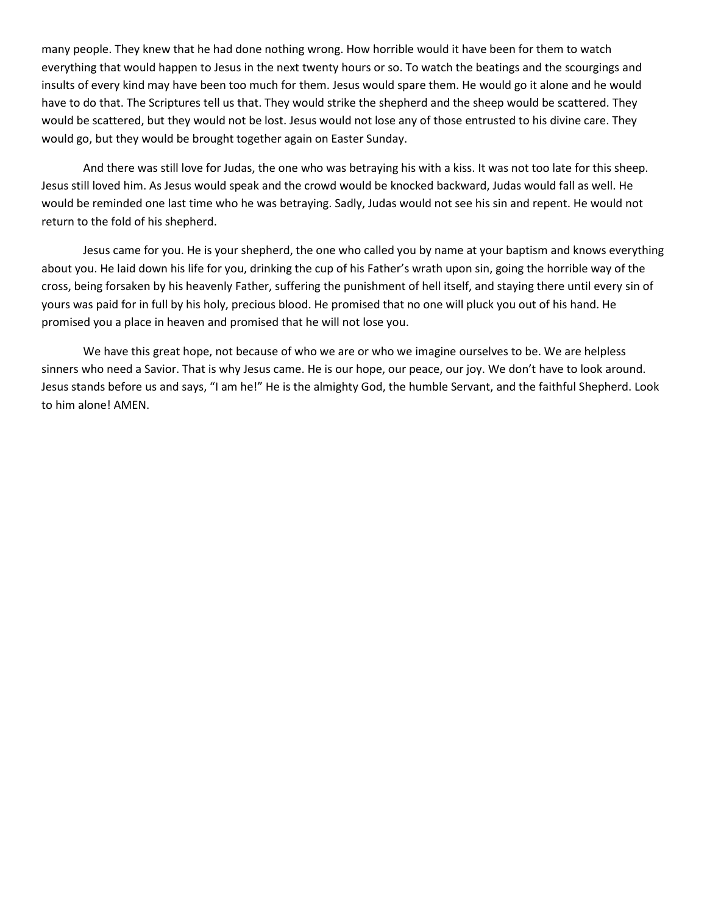many people. They knew that he had done nothing wrong. How horrible would it have been for them to watch everything that would happen to Jesus in the next twenty hours or so. To watch the beatings and the scourgings and insults of every kind may have been too much for them. Jesus would spare them. He would go it alone and he would have to do that. The Scriptures tell us that. They would strike the shepherd and the sheep would be scattered. They would be scattered, but they would not be lost. Jesus would not lose any of those entrusted to his divine care. They would go, but they would be brought together again on Easter Sunday.

And there was still love for Judas, the one who was betraying his with a kiss. It was not too late for this sheep. Jesus still loved him. As Jesus would speak and the crowd would be knocked backward, Judas would fall as well. He would be reminded one last time who he was betraying. Sadly, Judas would not see his sin and repent. He would not return to the fold of his shepherd.

Jesus came for you. He is your shepherd, the one who called you by name at your baptism and knows everything about you. He laid down his life for you, drinking the cup of his Father's wrath upon sin, going the horrible way of the cross, being forsaken by his heavenly Father, suffering the punishment of hell itself, and staying there until every sin of yours was paid for in full by his holy, precious blood. He promised that no one will pluck you out of his hand. He promised you a place in heaven and promised that he will not lose you.

We have this great hope, not because of who we are or who we imagine ourselves to be. We are helpless sinners who need a Savior. That is why Jesus came. He is our hope, our peace, our joy. We don't have to look around. Jesus stands before us and says, "I am he!" He is the almighty God, the humble Servant, and the faithful Shepherd. Look to him alone! AMEN.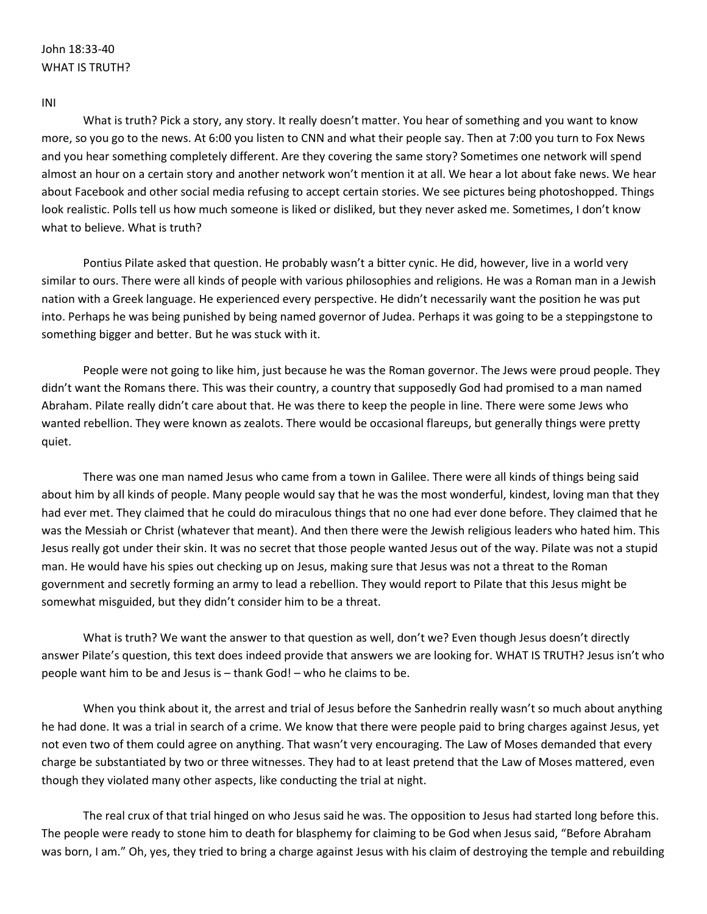# John 18:33-40 WHAT IS TRUTH?

#### INI

What is truth? Pick a story, any story. It really doesn't matter. You hear of something and you want to know more, so you go to the news. At 6:00 you listen to CNN and what their people say. Then at 7:00 you turn to Fox News and you hear something completely different. Are they covering the same story? Sometimes one network will spend almost an hour on a certain story and another network won't mention it at all. We hear a lot about fake news. We hear about Facebook and other social media refusing to accept certain stories. We see pictures being photoshopped. Things look realistic. Polls tell us how much someone is liked or disliked, but they never asked me. Sometimes, I don't know what to believe. What is truth?

Pontius Pilate asked that question. He probably wasn't a bitter cynic. He did, however, live in a world very similar to ours. There were all kinds of people with various philosophies and religions. He was a Roman man in a Jewish nation with a Greek language. He experienced every perspective. He didn't necessarily want the position he was put into. Perhaps he was being punished by being named governor of Judea. Perhaps it was going to be a steppingstone to something bigger and better. But he was stuck with it.

People were not going to like him, just because he was the Roman governor. The Jews were proud people. They didn't want the Romans there. This was their country, a country that supposedly God had promised to a man named Abraham. Pilate really didn't care about that. He was there to keep the people in line. There were some Jews who wanted rebellion. They were known as zealots. There would be occasional flareups, but generally things were pretty quiet.

There was one man named Jesus who came from a town in Galilee. There were all kinds of things being said about him by all kinds of people. Many people would say that he was the most wonderful, kindest, loving man that they had ever met. They claimed that he could do miraculous things that no one had ever done before. They claimed that he was the Messiah or Christ (whatever that meant). And then there were the Jewish religious leaders who hated him. This Jesus really got under their skin. It was no secret that those people wanted Jesus out of the way. Pilate was not a stupid man. He would have his spies out checking up on Jesus, making sure that Jesus was not a threat to the Roman government and secretly forming an army to lead a rebellion. They would report to Pilate that this Jesus might be somewhat misguided, but they didn't consider him to be a threat.

What is truth? We want the answer to that question as well, don't we? Even though Jesus doesn't directly answer Pilate's question, this text does indeed provide that answers we are looking for. WHAT IS TRUTH? Jesus isn't who people want him to be and Jesus is – thank God! – who he claims to be.

When you think about it, the arrest and trial of Jesus before the Sanhedrin really wasn't so much about anything he had done. It was a trial in search of a crime. We know that there were people paid to bring charges against Jesus, yet not even two of them could agree on anything. That wasn't very encouraging. The Law of Moses demanded that every charge be substantiated by two or three witnesses. They had to at least pretend that the Law of Moses mattered, even though they violated many other aspects, like conducting the trial at night.

The real crux of that trial hinged on who Jesus said he was. The opposition to Jesus had started long before this. The people were ready to stone him to death for blasphemy for claiming to be God when Jesus said, "Before Abraham was born, I am." Oh, yes, they tried to bring a charge against Jesus with his claim of destroying the temple and rebuilding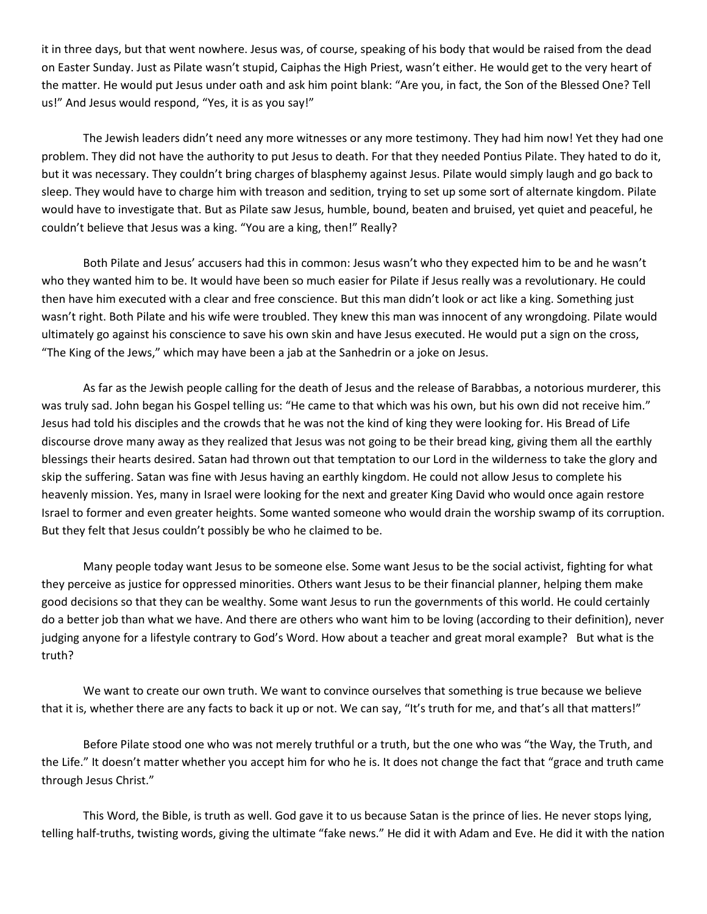it in three days, but that went nowhere. Jesus was, of course, speaking of his body that would be raised from the dead on Easter Sunday. Just as Pilate wasn't stupid, Caiphas the High Priest, wasn't either. He would get to the very heart of the matter. He would put Jesus under oath and ask him point blank: "Are you, in fact, the Son of the Blessed One? Tell us!" And Jesus would respond, "Yes, it is as you say!"

The Jewish leaders didn't need any more witnesses or any more testimony. They had him now! Yet they had one problem. They did not have the authority to put Jesus to death. For that they needed Pontius Pilate. They hated to do it, but it was necessary. They couldn't bring charges of blasphemy against Jesus. Pilate would simply laugh and go back to sleep. They would have to charge him with treason and sedition, trying to set up some sort of alternate kingdom. Pilate would have to investigate that. But as Pilate saw Jesus, humble, bound, beaten and bruised, yet quiet and peaceful, he couldn't believe that Jesus was a king. "You are a king, then!" Really?

Both Pilate and Jesus' accusers had this in common: Jesus wasn't who they expected him to be and he wasn't who they wanted him to be. It would have been so much easier for Pilate if Jesus really was a revolutionary. He could then have him executed with a clear and free conscience. But this man didn't look or act like a king. Something just wasn't right. Both Pilate and his wife were troubled. They knew this man was innocent of any wrongdoing. Pilate would ultimately go against his conscience to save his own skin and have Jesus executed. He would put a sign on the cross, "The King of the Jews," which may have been a jab at the Sanhedrin or a joke on Jesus.

As far as the Jewish people calling for the death of Jesus and the release of Barabbas, a notorious murderer, this was truly sad. John began his Gospel telling us: "He came to that which was his own, but his own did not receive him." Jesus had told his disciples and the crowds that he was not the kind of king they were looking for. His Bread of Life discourse drove many away as they realized that Jesus was not going to be their bread king, giving them all the earthly blessings their hearts desired. Satan had thrown out that temptation to our Lord in the wilderness to take the glory and skip the suffering. Satan was fine with Jesus having an earthly kingdom. He could not allow Jesus to complete his heavenly mission. Yes, many in Israel were looking for the next and greater King David who would once again restore Israel to former and even greater heights. Some wanted someone who would drain the worship swamp of its corruption. But they felt that Jesus couldn't possibly be who he claimed to be.

Many people today want Jesus to be someone else. Some want Jesus to be the social activist, fighting for what they perceive as justice for oppressed minorities. Others want Jesus to be their financial planner, helping them make good decisions so that they can be wealthy. Some want Jesus to run the governments of this world. He could certainly do a better job than what we have. And there are others who want him to be loving (according to their definition), never judging anyone for a lifestyle contrary to God's Word. How about a teacher and great moral example? But what is the truth?

We want to create our own truth. We want to convince ourselves that something is true because we believe that it is, whether there are any facts to back it up or not. We can say, "It's truth for me, and that's all that matters!"

Before Pilate stood one who was not merely truthful or a truth, but the one who was "the Way, the Truth, and the Life." It doesn't matter whether you accept him for who he is. It does not change the fact that "grace and truth came through Jesus Christ."

This Word, the Bible, is truth as well. God gave it to us because Satan is the prince of lies. He never stops lying, telling half-truths, twisting words, giving the ultimate "fake news." He did it with Adam and Eve. He did it with the nation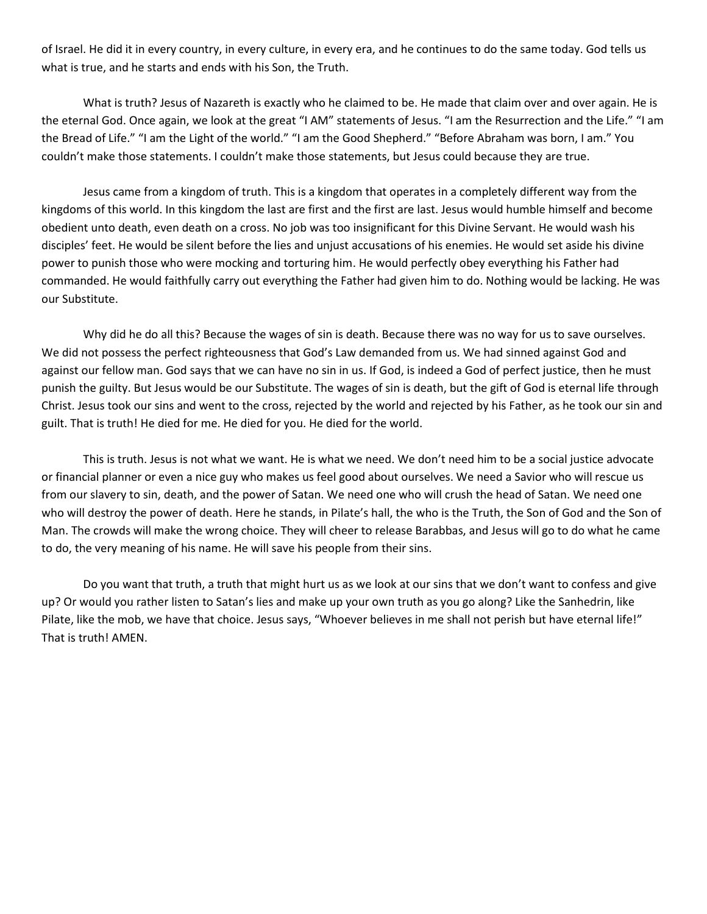of Israel. He did it in every country, in every culture, in every era, and he continues to do the same today. God tells us what is true, and he starts and ends with his Son, the Truth.

What is truth? Jesus of Nazareth is exactly who he claimed to be. He made that claim over and over again. He is the eternal God. Once again, we look at the great "I AM" statements of Jesus. "I am the Resurrection and the Life." "I am the Bread of Life." "I am the Light of the world." "I am the Good Shepherd." "Before Abraham was born, I am." You couldn't make those statements. I couldn't make those statements, but Jesus could because they are true.

Jesus came from a kingdom of truth. This is a kingdom that operates in a completely different way from the kingdoms of this world. In this kingdom the last are first and the first are last. Jesus would humble himself and become obedient unto death, even death on a cross. No job was too insignificant for this Divine Servant. He would wash his disciples' feet. He would be silent before the lies and unjust accusations of his enemies. He would set aside his divine power to punish those who were mocking and torturing him. He would perfectly obey everything his Father had commanded. He would faithfully carry out everything the Father had given him to do. Nothing would be lacking. He was our Substitute.

Why did he do all this? Because the wages of sin is death. Because there was no way for us to save ourselves. We did not possess the perfect righteousness that God's Law demanded from us. We had sinned against God and against our fellow man. God says that we can have no sin in us. If God, is indeed a God of perfect justice, then he must punish the guilty. But Jesus would be our Substitute. The wages of sin is death, but the gift of God is eternal life through Christ. Jesus took our sins and went to the cross, rejected by the world and rejected by his Father, as he took our sin and guilt. That is truth! He died for me. He died for you. He died for the world.

This is truth. Jesus is not what we want. He is what we need. We don't need him to be a social justice advocate or financial planner or even a nice guy who makes us feel good about ourselves. We need a Savior who will rescue us from our slavery to sin, death, and the power of Satan. We need one who will crush the head of Satan. We need one who will destroy the power of death. Here he stands, in Pilate's hall, the who is the Truth, the Son of God and the Son of Man. The crowds will make the wrong choice. They will cheer to release Barabbas, and Jesus will go to do what he came to do, the very meaning of his name. He will save his people from their sins.

Do you want that truth, a truth that might hurt us as we look at our sins that we don't want to confess and give up? Or would you rather listen to Satan's lies and make up your own truth as you go along? Like the Sanhedrin, like Pilate, like the mob, we have that choice. Jesus says, "Whoever believes in me shall not perish but have eternal life!" That is truth! AMEN.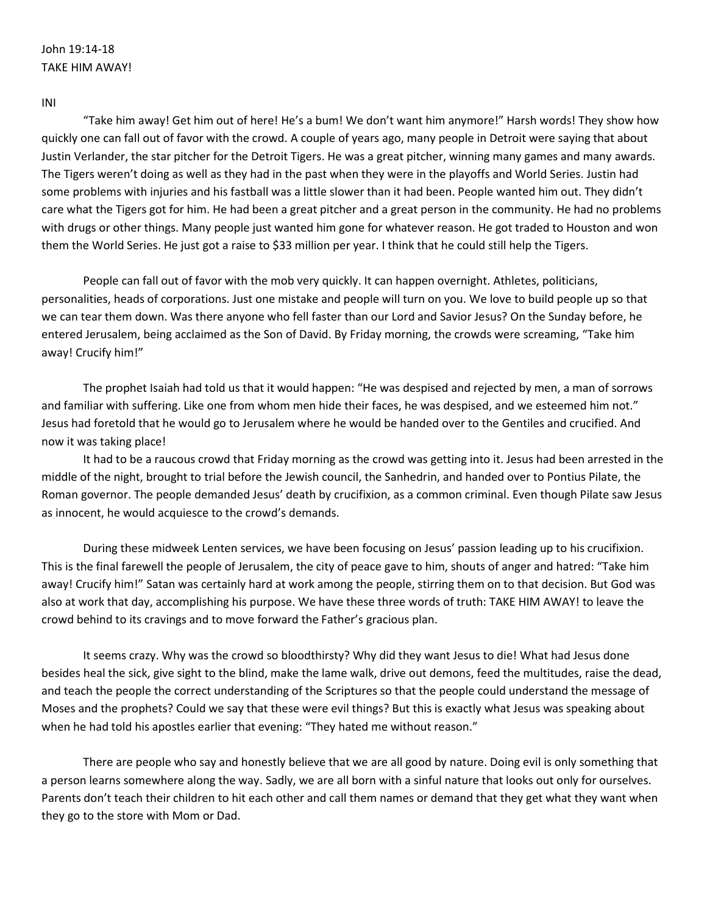# John 19:14-18 TAKE HIM AWAY!

INI

"Take him away! Get him out of here! He's a bum! We don't want him anymore!" Harsh words! They show how quickly one can fall out of favor with the crowd. A couple of years ago, many people in Detroit were saying that about Justin Verlander, the star pitcher for the Detroit Tigers. He was a great pitcher, winning many games and many awards. The Tigers weren't doing as well as they had in the past when they were in the playoffs and World Series. Justin had some problems with injuries and his fastball was a little slower than it had been. People wanted him out. They didn't care what the Tigers got for him. He had been a great pitcher and a great person in the community. He had no problems with drugs or other things. Many people just wanted him gone for whatever reason. He got traded to Houston and won them the World Series. He just got a raise to \$33 million per year. I think that he could still help the Tigers.

People can fall out of favor with the mob very quickly. It can happen overnight. Athletes, politicians, personalities, heads of corporations. Just one mistake and people will turn on you. We love to build people up so that we can tear them down. Was there anyone who fell faster than our Lord and Savior Jesus? On the Sunday before, he entered Jerusalem, being acclaimed as the Son of David. By Friday morning, the crowds were screaming, "Take him away! Crucify him!"

The prophet Isaiah had told us that it would happen: "He was despised and rejected by men, a man of sorrows and familiar with suffering. Like one from whom men hide their faces, he was despised, and we esteemed him not." Jesus had foretold that he would go to Jerusalem where he would be handed over to the Gentiles and crucified. And now it was taking place!

It had to be a raucous crowd that Friday morning as the crowd was getting into it. Jesus had been arrested in the middle of the night, brought to trial before the Jewish council, the Sanhedrin, and handed over to Pontius Pilate, the Roman governor. The people demanded Jesus' death by crucifixion, as a common criminal. Even though Pilate saw Jesus as innocent, he would acquiesce to the crowd's demands.

During these midweek Lenten services, we have been focusing on Jesus' passion leading up to his crucifixion. This is the final farewell the people of Jerusalem, the city of peace gave to him, shouts of anger and hatred: "Take him away! Crucify him!" Satan was certainly hard at work among the people, stirring them on to that decision. But God was also at work that day, accomplishing his purpose. We have these three words of truth: TAKE HIM AWAY! to leave the crowd behind to its cravings and to move forward the Father's gracious plan.

It seems crazy. Why was the crowd so bloodthirsty? Why did they want Jesus to die! What had Jesus done besides heal the sick, give sight to the blind, make the lame walk, drive out demons, feed the multitudes, raise the dead, and teach the people the correct understanding of the Scriptures so that the people could understand the message of Moses and the prophets? Could we say that these were evil things? But this is exactly what Jesus was speaking about when he had told his apostles earlier that evening: "They hated me without reason."

There are people who say and honestly believe that we are all good by nature. Doing evil is only something that a person learns somewhere along the way. Sadly, we are all born with a sinful nature that looks out only for ourselves. Parents don't teach their children to hit each other and call them names or demand that they get what they want when they go to the store with Mom or Dad.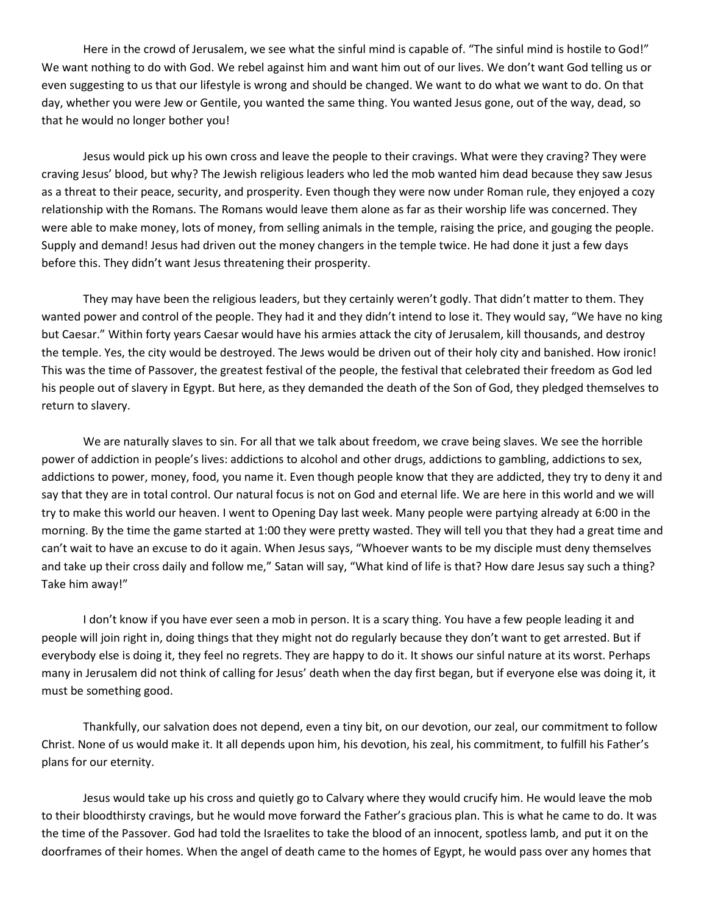Here in the crowd of Jerusalem, we see what the sinful mind is capable of. "The sinful mind is hostile to God!" We want nothing to do with God. We rebel against him and want him out of our lives. We don't want God telling us or even suggesting to us that our lifestyle is wrong and should be changed. We want to do what we want to do. On that day, whether you were Jew or Gentile, you wanted the same thing. You wanted Jesus gone, out of the way, dead, so that he would no longer bother you!

Jesus would pick up his own cross and leave the people to their cravings. What were they craving? They were craving Jesus' blood, but why? The Jewish religious leaders who led the mob wanted him dead because they saw Jesus as a threat to their peace, security, and prosperity. Even though they were now under Roman rule, they enjoyed a cozy relationship with the Romans. The Romans would leave them alone as far as their worship life was concerned. They were able to make money, lots of money, from selling animals in the temple, raising the price, and gouging the people. Supply and demand! Jesus had driven out the money changers in the temple twice. He had done it just a few days before this. They didn't want Jesus threatening their prosperity.

They may have been the religious leaders, but they certainly weren't godly. That didn't matter to them. They wanted power and control of the people. They had it and they didn't intend to lose it. They would say, "We have no king but Caesar." Within forty years Caesar would have his armies attack the city of Jerusalem, kill thousands, and destroy the temple. Yes, the city would be destroyed. The Jews would be driven out of their holy city and banished. How ironic! This was the time of Passover, the greatest festival of the people, the festival that celebrated their freedom as God led his people out of slavery in Egypt. But here, as they demanded the death of the Son of God, they pledged themselves to return to slavery.

We are naturally slaves to sin. For all that we talk about freedom, we crave being slaves. We see the horrible power of addiction in people's lives: addictions to alcohol and other drugs, addictions to gambling, addictions to sex, addictions to power, money, food, you name it. Even though people know that they are addicted, they try to deny it and say that they are in total control. Our natural focus is not on God and eternal life. We are here in this world and we will try to make this world our heaven. I went to Opening Day last week. Many people were partying already at 6:00 in the morning. By the time the game started at 1:00 they were pretty wasted. They will tell you that they had a great time and can't wait to have an excuse to do it again. When Jesus says, "Whoever wants to be my disciple must deny themselves and take up their cross daily and follow me," Satan will say, "What kind of life is that? How dare Jesus say such a thing? Take him away!"

I don't know if you have ever seen a mob in person. It is a scary thing. You have a few people leading it and people will join right in, doing things that they might not do regularly because they don't want to get arrested. But if everybody else is doing it, they feel no regrets. They are happy to do it. It shows our sinful nature at its worst. Perhaps many in Jerusalem did not think of calling for Jesus' death when the day first began, but if everyone else was doing it, it must be something good.

Thankfully, our salvation does not depend, even a tiny bit, on our devotion, our zeal, our commitment to follow Christ. None of us would make it. It all depends upon him, his devotion, his zeal, his commitment, to fulfill his Father's plans for our eternity.

Jesus would take up his cross and quietly go to Calvary where they would crucify him. He would leave the mob to their bloodthirsty cravings, but he would move forward the Father's gracious plan. This is what he came to do. It was the time of the Passover. God had told the Israelites to take the blood of an innocent, spotless lamb, and put it on the doorframes of their homes. When the angel of death came to the homes of Egypt, he would pass over any homes that